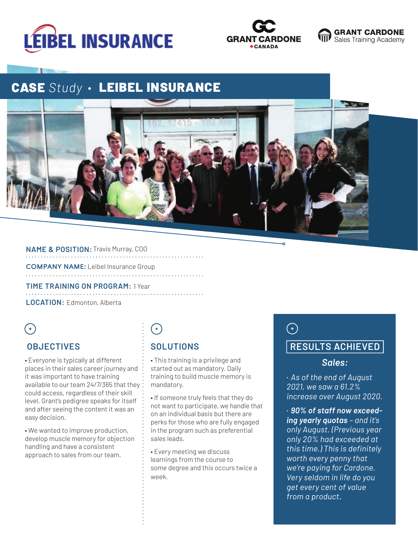





# **CASE Study · LEIBEL INSURANCE**



#### **NAME & POSITION:** Travis Murray, COO

**COMPANY NAME:** Leibel Insurance Group

**TIME TRAINING ON PROGRAM:** 1 Year 

**LOCATION:** Edmonton, Alberta

### $(+)$

#### **OBJECTIVES**

• Everyone is typically at different places in their sales career journey and it was important to have training available to our team 24/7/365 that they could access, regardless of their skill level. Grant's pedigree speaks for itself and after seeing the content it was an easy decision.

• We wanted to improve production, develop muscle memory for objection handling and have a consistent approach to sales from our team.

## $\bigodot$

### **SOLUTIONS**

• This training is a privilege and started out as mandatory. Daily training to build muscle memory is mandatory.

• If someone truly feels that they do not want to participate, we handle that on an individual basis but there are perks for those who are fully engaged in the program such as preferential sales leads.

• Every meeting we discuss learnings from the course to some degree and this occurs twice a week.

## $\bigodot$

### **RESULTS ACHIEVED**

#### *Sales:*

• *As of the end of August 2021, we saw a 61.2% increase over August 2020.*

• *90% of staff now exceeding yearly quotas – and it's only August. (Previous year only 20% had exceeded at this time.) This is definitely worth every penny that we're paying for Cardone. Very seldom in life do you get every cent of value from a product***.**